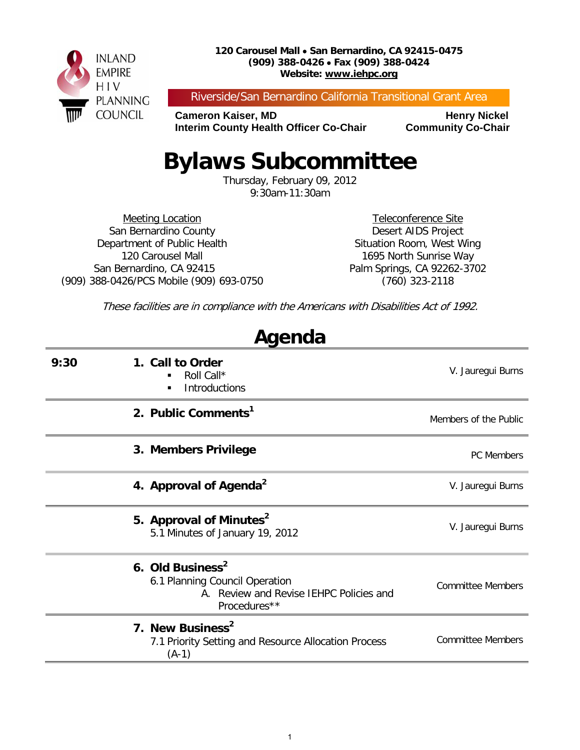

#### **120 Carousel Mall** • **San Bernardino, CA 92415-0475 (909) 388-0426** • **Fax (909) 388-0424 Website: www.iehpc.org**

Riverside/San Bernardino California Transitional Grant Area

**Cameron Kaiser, MD<br>Interim County Health Officer Co-Chair Community Co-Chair Interim County Health Officer Co-Chair** 

# **Bylaws Subcommittee**

Thursday, February 09, 2012 9:30am-11:30am

Meeting Location San Bernardino County Department of Public Health 120 Carousel Mall San Bernardino, CA 92415 (909) 388-0426/PCS Mobile (909) 693-0750

Teleconference Site Desert AIDS Project Situation Room, West Wing 1695 North Sunrise Way Palm Springs, CA 92262-3702 (760) 323-2118

These facilities are in compliance with the Americans with Disabilities Act of 1992.

**Agenda**

| nyonaa |                                                                                                                           |                          |  |
|--------|---------------------------------------------------------------------------------------------------------------------------|--------------------------|--|
| 9:30   | 1. Call to Order<br>Roll Call*<br><b>Introductions</b><br>٠                                                               | V. Jauregui Burns        |  |
|        | 2. Public Comments <sup>1</sup>                                                                                           | Members of the Public    |  |
|        | 3. Members Privilege                                                                                                      | <b>PC</b> Members        |  |
|        | 4. Approval of Agenda <sup>2</sup>                                                                                        | V. Jauregui Burns        |  |
|        | 5. Approval of Minutes <sup>2</sup><br>5.1 Minutes of January 19, 2012                                                    | V. Jauregui Burns        |  |
|        | 6. Old Business <sup>2</sup><br>6.1 Planning Council Operation<br>A. Review and Revise IEHPC Policies and<br>Procedures** | <b>Committee Members</b> |  |
|        | 7. New Business <sup>2</sup><br>7.1 Priority Setting and Resource Allocation Process<br>$(A-1)$                           | <b>Committee Members</b> |  |
|        |                                                                                                                           |                          |  |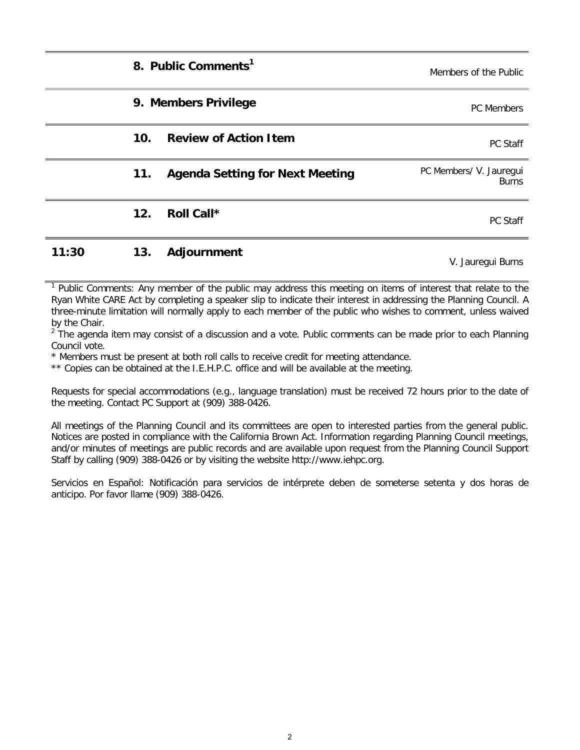|       |                 | 8. Public Comments <sup>1</sup>        | Members of the Public                   |
|-------|-----------------|----------------------------------------|-----------------------------------------|
|       |                 | 9. Members Privilege                   | <b>PC</b> Members                       |
|       | 10 <sub>1</sub> | <b>Review of Action Item</b>           | PC Staff                                |
|       | 11.             | <b>Agenda Setting for Next Meeting</b> | PC Members/ V. Jauregui<br><b>Burns</b> |
|       | 12.             | Roll Call*                             | PC Staff                                |
| 11:30 | 13.             | Adjournment                            | V. Jauregui Burns                       |

Public Comments: Any member of the public may address this meeting on items of interest that relate to the Ryan White CARE Act by completing a speaker slip to indicate their interest in addressing the Planning Council. A three-minute limitation will normally apply to each member of the public who wishes to comment, unless waived by the Chair.

 $2^{2}$  The agenda item may consist of a discussion and a vote. Public comments can be made prior to each Planning Council vote.

\* Members must be present at both roll calls to receive credit for meeting attendance.

\*\* Copies can be obtained at the I.E.H.P.C. office and will be available at the meeting.

Requests for special accommodations (e.g., language translation) must be received 72 hours prior to the date of the meeting. Contact PC Support at (909) 388-0426.

All meetings of the Planning Council and its committees are open to interested parties from the general public. Notices are posted in compliance with the California Brown Act. Information regarding Planning Council meetings, and/or minutes of meetings are public records and are available upon request from the Planning Council Support Staff by calling (909) 388-0426 or by visiting the website http://www.iehpc.org.

Servicios en Español: Notificación para servicios de intérprete deben de someterse setenta y dos horas de anticipo. Por favor llame (909) 388-0426.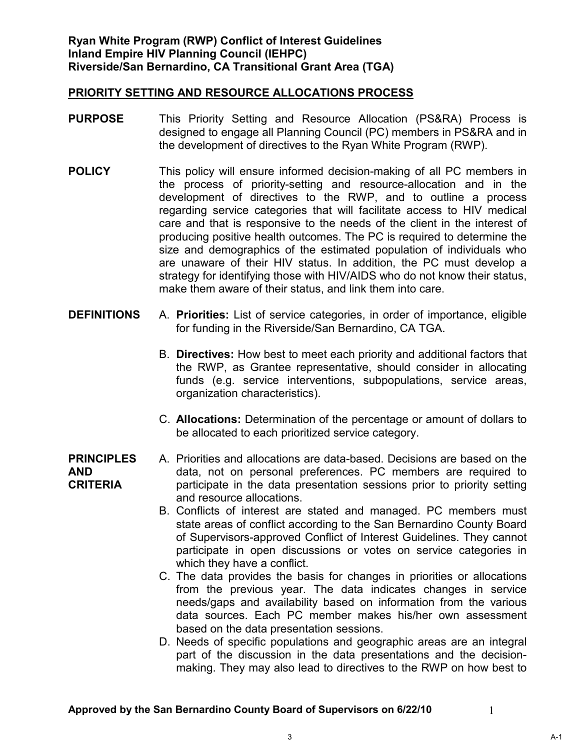- **PURPOSE** This Priority Setting and Resource Allocation (PS&RA) Process is designed to engage all Planning Council (PC) members in PS&RA and in the development of directives to the Ryan White Program (RWP).
- **POLICY** This policy will ensure informed decision-making of all PC members in the process of priority-setting and resource-allocation and in the development of directives to the RWP, and to outline a process regarding service categories that will facilitate access to HIV medical care and that is responsive to the needs of the client in the interest of producing positive health outcomes. The PC is required to determine the size and demographics of the estimated population of individuals who are unaware of their HIV status. In addition, the PC must develop a strategy for identifying those with HIV/AIDS who do not know their status, make them aware of their status, and link them into care.
- **DEFINITIONS** A. **Priorities:** List of service categories, in order of importance, eligible for funding in the Riverside/San Bernardino, CA TGA.
	- B. **Directives:** How best to meet each priority and additional factors that the RWP, as Grantee representative, should consider in allocating funds (e.g. service interventions, subpopulations, service areas, organization characteristics).
	- C. **Allocations:** Determination of the percentage or amount of dollars to be allocated to each prioritized service category.

#### **PRINCIPLES AND CRITERIA**  A. Priorities and allocations are data-based. Decisions are based on the data, not on personal preferences. PC members are required to participate in the data presentation sessions prior to priority setting and resource allocations.

- B. Conflicts of interest are stated and managed. PC members must state areas of conflict according to the San Bernardino County Board of Supervisors-approved Conflict of Interest Guidelines. They cannot participate in open discussions or votes on service categories in which they have a conflict.
- C. The data provides the basis for changes in priorities or allocations from the previous year. The data indicates changes in service needs/gaps and availability based on information from the various data sources. Each PC member makes his/her own assessment based on the data presentation sessions.
- D. Needs of specific populations and geographic areas are an integral part of the discussion in the data presentations and the decisionmaking. They may also lead to directives to the RWP on how best to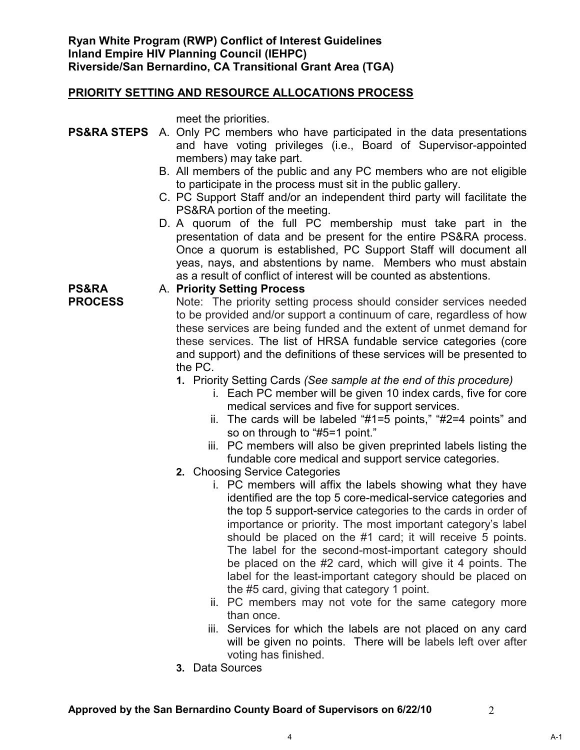meet the priorities.

- **PS&RA STEPS** A. Only PC members who have participated in the data presentations and have voting privileges (i.e., Board of Supervisor-appointed members) may take part.
	- B. All members of the public and any PC members who are not eligible to participate in the process must sit in the public gallery.
	- C. PC Support Staff and/or an independent third party will facilitate the PS&RA portion of the meeting.
	- D. A quorum of the full PC membership must take part in the presentation of data and be present for the entire PS&RA process. Once a quorum is established, PC Support Staff will document all yeas, nays, and abstentions by name. Members who must abstain as a result of conflict of interest will be counted as abstentions.

**PS&RA PROCESS** 

#### A. **Priority Setting Process**

Note: The priority setting process should consider services needed to be provided and/or support a continuum of care, regardless of how these services are being funded and the extent of unmet demand for these services. The list of HRSA fundable service categories (core and support) and the definitions of these services will be presented to the PC.

- **1.** Priority Setting Cards *(See sample at the end of this procedure)*
	- i. Each PC member will be given 10 index cards, five for core medical services and five for support services.
	- ii. The cards will be labeled "#1=5 points," "#2=4 points" and so on through to "#5=1 point."
	- iii. PC members will also be given preprinted labels listing the fundable core medical and support service categories.
- **2.** Choosing Service Categories
	- i. PC members will affix the labels showing what they have identified are the top 5 core-medical-service categories and the top 5 support-service categories to the cards in order of importance or priority. The most important category's label should be placed on the #1 card; it will receive 5 points. The label for the second-most-important category should be placed on the #2 card, which will give it 4 points. The label for the least-important category should be placed on the #5 card, giving that category 1 point.
	- ii. PC members may not vote for the same category more than once.
	- iii. Services for which the labels are not placed on any card will be given no points. There will be labels left over after voting has finished.
- **3.** Data Sources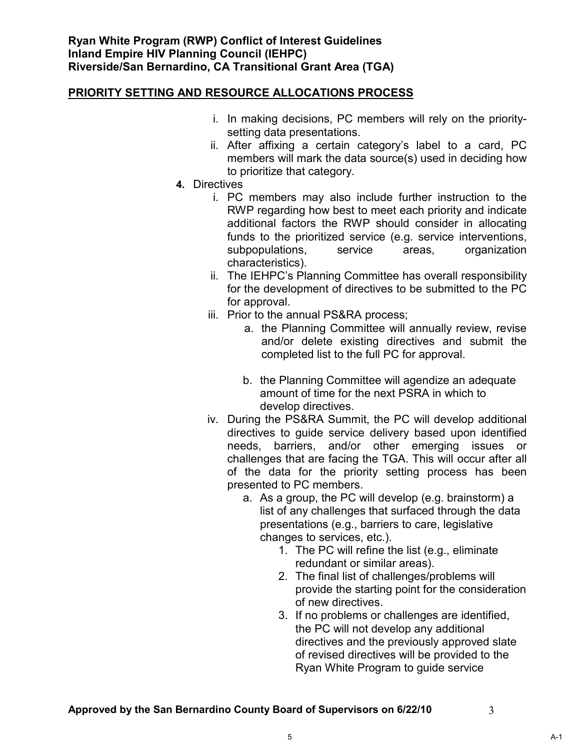- i. In making decisions, PC members will rely on the prioritysetting data presentations.
- ii. After affixing a certain category's label to a card, PC members will mark the data source(s) used in deciding how to prioritize that category.
- **4.** Directives
	- i. PC members may also include further instruction to the RWP regarding how best to meet each priority and indicate additional factors the RWP should consider in allocating funds to the prioritized service (e.g. service interventions, subpopulations, service areas, organization characteristics).
	- ii. The IEHPC's Planning Committee has overall responsibility for the development of directives to be submitted to the PC for approval.
	- iii. Prior to the annual PS&RA process;
		- a. the Planning Committee will annually review, revise and/or delete existing directives and submit the completed list to the full PC for approval.
		- b. the Planning Committee will agendize an adequate amount of time for the next PSRA in which to develop directives.
	- iv. During the PS&RA Summit, the PC will develop additional directives to guide service delivery based upon identified needs, barriers, and/or other emerging issues or challenges that are facing the TGA. This will occur after all of the data for the priority setting process has been presented to PC members.
		- a. As a group, the PC will develop (e.g. brainstorm) a list of any challenges that surfaced through the data presentations (e.g., barriers to care, legislative changes to services, etc.).
			- 1. The PC will refine the list (e.g., eliminate redundant or similar areas).
			- 2. The final list of challenges/problems will provide the starting point for the consideration of new directives.
			- 3. If no problems or challenges are identified, the PC will not develop any additional directives and the previously approved slate of revised directives will be provided to the Ryan White Program to guide service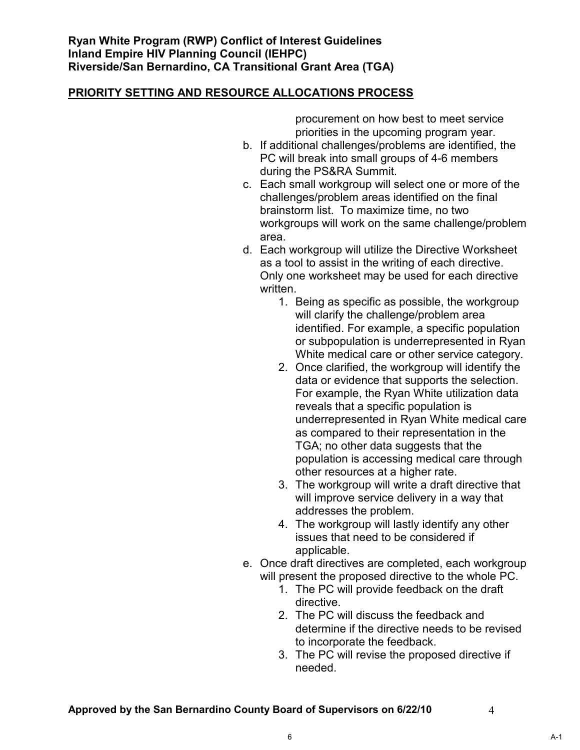procurement on how best to meet service priorities in the upcoming program year.

- b. If additional challenges/problems are identified, the PC will break into small groups of 4-6 members during the PS&RA Summit.
- c. Each small workgroup will select one or more of the challenges/problem areas identified on the final brainstorm list. To maximize time, no two workgroups will work on the same challenge/problem area.
- d. Each workgroup will utilize the Directive Worksheet as a tool to assist in the writing of each directive. Only one worksheet may be used for each directive written.
	- 1. Being as specific as possible, the workgroup will clarify the challenge/problem area identified. For example, a specific population or subpopulation is underrepresented in Ryan White medical care or other service category.
	- 2. Once clarified, the workgroup will identify the data or evidence that supports the selection. For example, the Ryan White utilization data reveals that a specific population is underrepresented in Ryan White medical care as compared to their representation in the TGA; no other data suggests that the population is accessing medical care through other resources at a higher rate.
	- 3. The workgroup will write a draft directive that will improve service delivery in a way that addresses the problem.
	- 4. The workgroup will lastly identify any other issues that need to be considered if applicable.
- e. Once draft directives are completed, each workgroup will present the proposed directive to the whole PC.
	- 1. The PC will provide feedback on the draft directive.
	- 2. The PC will discuss the feedback and determine if the directive needs to be revised to incorporate the feedback.
	- 3. The PC will revise the proposed directive if needed.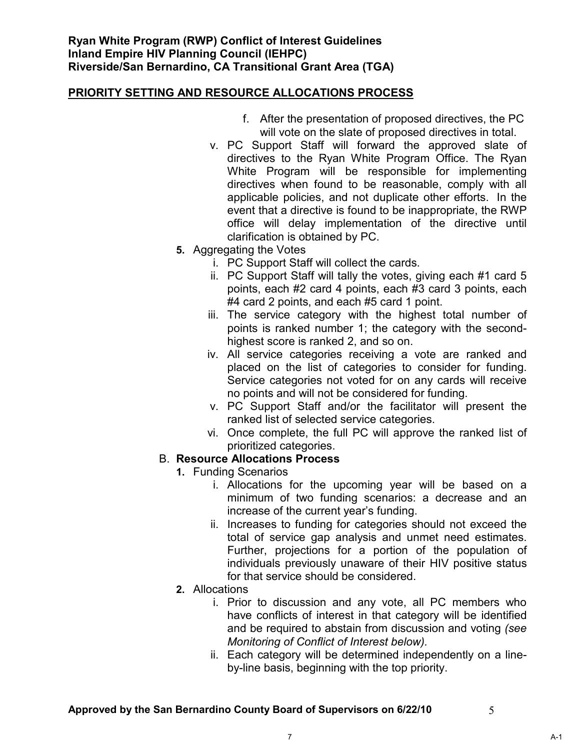- f. After the presentation of proposed directives, the PC will vote on the slate of proposed directives in total.
- v. PC Support Staff will forward the approved slate of directives to the Ryan White Program Office. The Ryan White Program will be responsible for implementing directives when found to be reasonable, comply with all applicable policies, and not duplicate other efforts. In the event that a directive is found to be inappropriate, the RWP office will delay implementation of the directive until clarification is obtained by PC.
- **5.** Aggregating the Votes
	- i. PC Support Staff will collect the cards.
	- ii. PC Support Staff will tally the votes, giving each #1 card 5 points, each #2 card 4 points, each #3 card 3 points, each #4 card 2 points, and each #5 card 1 point.
	- iii. The service category with the highest total number of points is ranked number 1; the category with the secondhighest score is ranked 2, and so on.
	- iv. All service categories receiving a vote are ranked and placed on the list of categories to consider for funding. Service categories not voted for on any cards will receive no points and will not be considered for funding.
	- v. PC Support Staff and/or the facilitator will present the ranked list of selected service categories.
	- vi. Once complete, the full PC will approve the ranked list of prioritized categories.

#### B. **Resource Allocations Process**

- **1.** Funding Scenarios
	- i. Allocations for the upcoming year will be based on a minimum of two funding scenarios: a decrease and an increase of the current year's funding.
	- ii. Increases to funding for categories should not exceed the total of service gap analysis and unmet need estimates. Further, projections for a portion of the population of individuals previously unaware of their HIV positive status for that service should be considered.
- **2.** Allocations
	- i. Prior to discussion and any vote, all PC members who have conflicts of interest in that category will be identified and be required to abstain from discussion and voting *(see Monitoring of Conflict of Interest below).*
	- ii. Each category will be determined independently on a lineby-line basis, beginning with the top priority.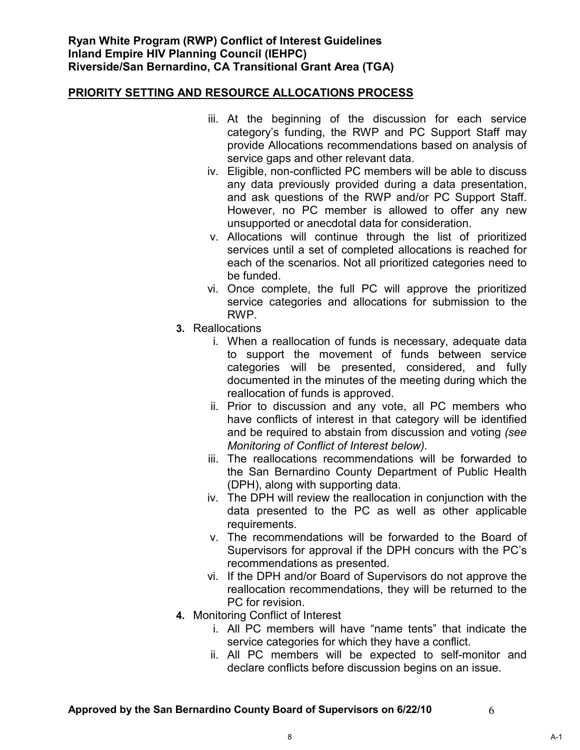- iii. At the beginning of the discussion for each service category's funding, the RWP and PC Support Staff may provide Allocations recommendations based on analysis of service gaps and other relevant data.
- iv. Eligible, non-conflicted PC members will be able to discuss any data previously provided during a data presentation, and ask questions of the RWP and/or PC Support Staff. However, no PC member is allowed to offer any new unsupported or anecdotal data for consideration.
- v. Allocations will continue through the list of prioritized services until a set of completed allocations is reached for each of the scenarios. Not all prioritized categories need to be funded.
- vi. Once complete, the full PC will approve the prioritized service categories and allocations for submission to the RWP.
- **3.** Reallocations
	- i. When a reallocation of funds is necessary, adequate data to support the movement of funds between service categories will be presented, considered, and fully documented in the minutes of the meeting during which the reallocation of funds is approved.
	- ii. Prior to discussion and any vote, all PC members who have conflicts of interest in that category will be identified and be required to abstain from discussion and voting *(see Monitoring of Conflict of Interest below).*
	- iii. The reallocations recommendations will be forwarded to the San Bernardino County Department of Public Health (DPH), along with supporting data.
	- iv. The DPH will review the reallocation in conjunction with the data presented to the PC as well as other applicable requirements.
	- v. The recommendations will be forwarded to the Board of Supervisors for approval if the DPH concurs with the PC's recommendations as presented.
	- vi. If the DPH and/or Board of Supervisors do not approve the reallocation recommendations, they will be returned to the PC for revision.
- **4.** Monitoring Conflict of Interest
	- i. All PC members will have "name tents" that indicate the service categories for which they have a conflict.
	- ii. All PC members will be expected to self-monitor and declare conflicts before discussion begins on an issue.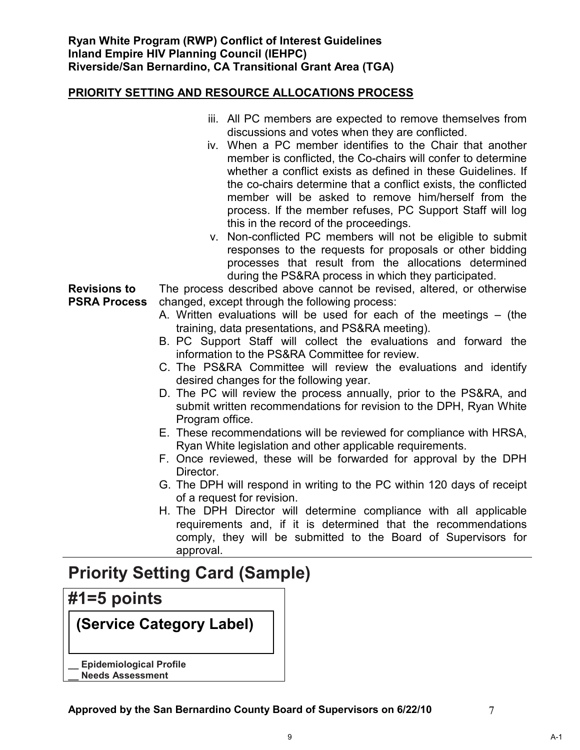|                     | iii. All PC members are expected to remove themselves from              |  |  |
|---------------------|-------------------------------------------------------------------------|--|--|
|                     | discussions and votes when they are conflicted.                         |  |  |
|                     | iv. When a PC member identifies to the Chair that another               |  |  |
|                     | member is conflicted, the Co-chairs will confer to determine            |  |  |
|                     | whether a conflict exists as defined in these Guidelines. If            |  |  |
|                     | the co-chairs determine that a conflict exists, the conflicted          |  |  |
|                     | member will be asked to remove him/herself from the                     |  |  |
|                     | process. If the member refuses, PC Support Staff will log               |  |  |
|                     | this in the record of the proceedings.                                  |  |  |
|                     | v. Non-conflicted PC members will not be eligible to submit             |  |  |
|                     | responses to the requests for proposals or other bidding                |  |  |
|                     | processes that result from the allocations determined                   |  |  |
|                     | during the PS&RA process in which they participated.                    |  |  |
| <b>Revisions to</b> | The process described above cannot be revised, altered, or otherwise    |  |  |
| <b>PSRA Process</b> | changed, except through the following process:                          |  |  |
|                     | A. Written evaluations will be used for each of the meetings – (the     |  |  |
|                     | training, data presentations, and PS&RA meeting).                       |  |  |
|                     | B. PC Support Staff will collect the evaluations and forward the        |  |  |
|                     | information to the PS&RA Committee for review.                          |  |  |
|                     | C. The PS&RA Committee will review the evaluations and identify         |  |  |
|                     | desired changes for the following year.                                 |  |  |
|                     | D. The PC will review the process annually, prior to the PS&RA, and     |  |  |
|                     | submit written recommendations for revision to the DPH, Ryan White      |  |  |
|                     | Program office.                                                         |  |  |
|                     | E. These recommendations will be reviewed for compliance with HRSA,     |  |  |
|                     | Ryan White legislation and other applicable requirements.               |  |  |
|                     | F. Once reviewed, these will be forwarded for approval by the DPH       |  |  |
|                     | Director.                                                               |  |  |
|                     | G. The DPH will respond in writing to the PC within 120 days of receipt |  |  |
|                     | of a request for revision.                                              |  |  |
|                     | H. The DPH Director will determine compliance with all applicable       |  |  |
|                     | requirements and, if it is determined that the recommendations          |  |  |
|                     | comply, they will be submitted to the Board of Supervisors for          |  |  |
|                     | approval.                                                               |  |  |

## **Priority Setting Card (Sample)**

### **#1=5 points**

**(Service Category Label)**

- **\_\_ Epidemiological Profile**
- **\_\_ Needs Assessment**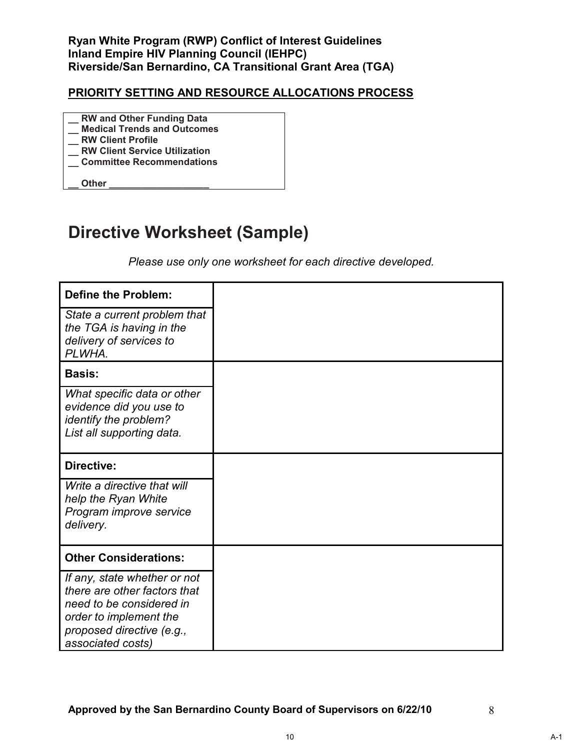- **\_\_ RW and Other Funding Data \_\_ Medical Trends and Outcomes**
- **\_\_ RW Client Profile**
- **\_\_ RW Client Service Utilization**
- **\_\_ Committee Recommendations**

**\_\_ Other \_\_\_\_\_\_\_\_\_\_\_\_\_\_\_\_\_\_\_**

## **Directive Worksheet (Sample)**

*Please use only one worksheet for each directive developed.*

| Define the Problem:                                                                                                                                                  |  |
|----------------------------------------------------------------------------------------------------------------------------------------------------------------------|--|
| State a current problem that<br>the TGA is having in the<br>delivery of services to<br>PLWHA.                                                                        |  |
| <b>Basis:</b>                                                                                                                                                        |  |
| What specific data or other<br>evidence did you use to<br>identify the problem?<br>List all supporting data.                                                         |  |
| <b>Directive:</b>                                                                                                                                                    |  |
| Write a directive that will<br>help the Ryan White<br>Program improve service<br>delivery.                                                                           |  |
| <b>Other Considerations:</b>                                                                                                                                         |  |
| If any, state whether or not<br>there are other factors that<br>need to be considered in<br>order to implement the<br>proposed directive (e.g.,<br>associated costs) |  |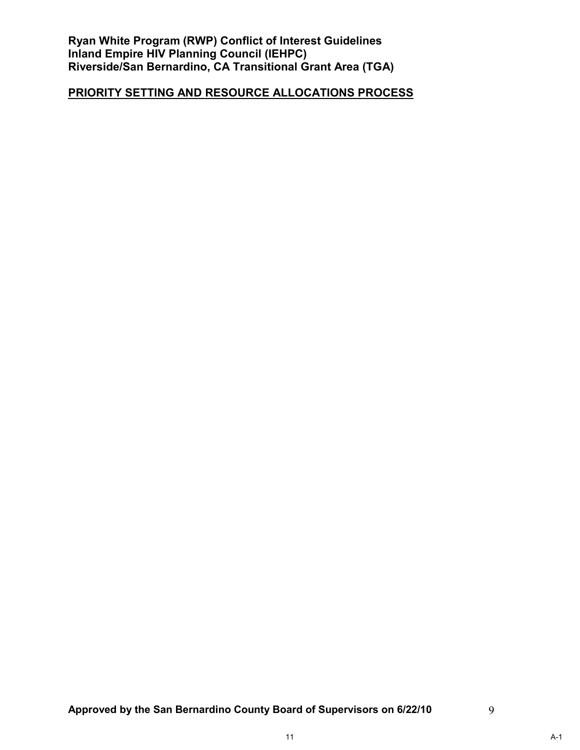**Ryan White Program (RWP) Conflict of Interest Guidelines Inland Empire HIV Planning Council (IEHPC) Riverside/San Bernardino, CA Transitional Grant Area (TGA)** 

### **PRIORITY SETTING AND RESOURCE ALLOCATIONS PROCESS**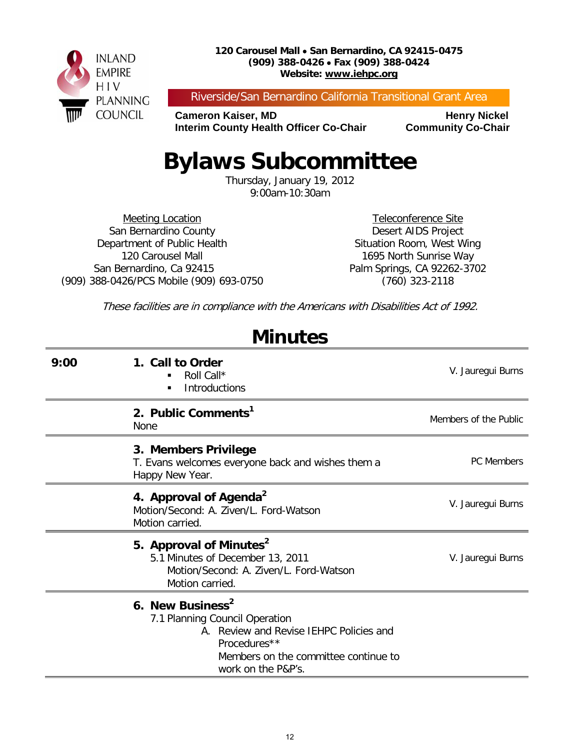

#### **120 Carousel Mall** • **San Bernardino, CA 92415-0475 (909) 388-0426** • **Fax (909) 388-0424 Website: www.iehpc.org**

Riverside/San Bernardino California Transitional Grant Area

**Cameron Kaiser, MD Henry Nickel Interim County Health Officer Co-Chair Community Co-Chair** 

# **Bylaws Subcommittee**

Thursday, January 19, 2012 9:00am-10:30am

Meeting Location San Bernardino County Department of Public Health 120 Carousel Mall San Bernardino, Ca 92415 (909) 388-0426/PCS Mobile (909) 693-0750

Teleconference Site Desert AIDS Project Situation Room, West Wing 1695 North Sunrise Way Palm Springs, CA 92262-3702 (760) 323-2118

These facilities are in compliance with the Americans with Disabilities Act of 1992.

**Minutes**

| 9:00 | 1. Call to Order<br>Roll Call*<br>٠<br><b>Introductions</b>                                                                                                                             | V. Jauregui Burns     |
|------|-----------------------------------------------------------------------------------------------------------------------------------------------------------------------------------------|-----------------------|
|      | 2. Public Comments <sup>1</sup><br><b>None</b>                                                                                                                                          | Members of the Public |
|      | 3. Members Privilege<br>T. Evans welcomes everyone back and wishes them a<br>Happy New Year.                                                                                            | <b>PC</b> Members     |
|      | 4. Approval of Agenda <sup>2</sup><br>Motion/Second: A. Ziven/L. Ford-Watson<br>Motion carried.                                                                                         | V. Jauregui Burns     |
|      | 5. Approval of Minutes <sup>2</sup><br>5.1 Minutes of December 13, 2011<br>Motion/Second: A. Ziven/L. Ford-Watson<br>Motion carried.                                                    | V. Jauregui Burns     |
|      | 6. New Business <sup>2</sup><br>7.1 Planning Council Operation<br>A. Review and Revise IEHPC Policies and<br>Procedures**<br>Members on the committee continue to<br>work on the P&P's. |                       |